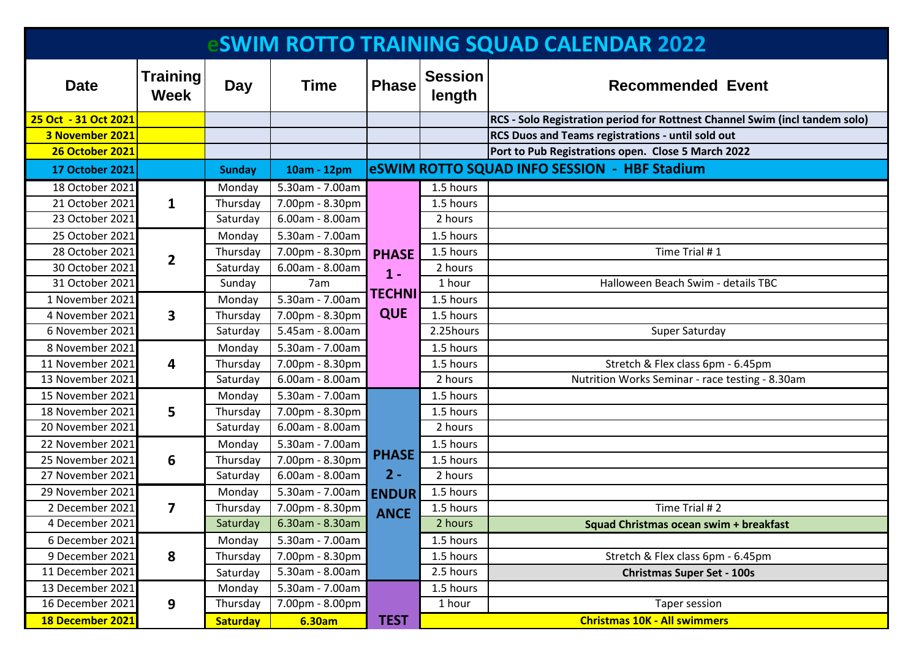| <b>SWIM ROTTO TRAINING SQUAD CALENDAR 2022</b> |                         |                 |                 |                                                      |                          |                                                                             |  |  |  |
|------------------------------------------------|-------------------------|-----------------|-----------------|------------------------------------------------------|--------------------------|-----------------------------------------------------------------------------|--|--|--|
| <b>Date</b>                                    | Training<br><b>Week</b> | Day             | <b>Time</b>     | <b>Phase</b>                                         | <b>Session</b><br>length | <b>Recommended Event</b>                                                    |  |  |  |
| 25 Oct - 31 Oct 2021                           |                         |                 |                 |                                                      |                          | RCS - Solo Registration period for Rottnest Channel Swim (incl tandem solo) |  |  |  |
| 3 November 2021                                |                         |                 |                 |                                                      |                          | RCS Duos and Teams registrations - until sold out                           |  |  |  |
| <b>26 October 2021</b>                         |                         |                 |                 |                                                      |                          | Port to Pub Registrations open. Close 5 March 2022                          |  |  |  |
| <b>17 October 2021</b>                         |                         | <b>Sunday</b>   | 10am - 12pm     |                                                      |                          | eSWIM ROTTO SQUAD INFO SESSION - HBF Stadium                                |  |  |  |
| 18 October 2021                                |                         | Monday          | 5.30am - 7.00am | <b>PHASE</b><br>$1 -$<br><b>TECHNI</b><br><b>QUE</b> | 1.5 hours                |                                                                             |  |  |  |
| 21 October 2021                                | $\mathbf{1}$            | Thursday        | 7.00pm - 8.30pm |                                                      | 1.5 hours                |                                                                             |  |  |  |
| 23 October 2021                                |                         | Saturday        | 6.00am - 8.00am |                                                      | 2 hours                  |                                                                             |  |  |  |
| 25 October 2021                                |                         | Monday          | 5.30am - 7.00am |                                                      | 1.5 hours                |                                                                             |  |  |  |
| 28 October 2021                                | $\overline{2}$          | Thursday        | 7.00pm - 8.30pm |                                                      | 1.5 hours                | Time Trial #1                                                               |  |  |  |
| 30 October 2021                                |                         | Saturday        | 6.00am - 8.00am |                                                      | 2 hours                  |                                                                             |  |  |  |
| 31 October 2021                                |                         | Sunday          | 7am             |                                                      | 1 hour                   | Halloween Beach Swim - details TBC                                          |  |  |  |
| 1 November 2021                                | $\overline{\mathbf{3}}$ | Monday          | 5.30am - 7.00am |                                                      | 1.5 hours                |                                                                             |  |  |  |
| 4 November 2021                                |                         | Thursday        | 7.00pm - 8.30pm |                                                      | 1.5 hours                |                                                                             |  |  |  |
| 6 November 2021                                |                         | Saturday        | 5.45am - 8.00am |                                                      | 2.25hours                | Super Saturday                                                              |  |  |  |
| 8 November 2021                                |                         | Monday          | 5.30am - 7.00am |                                                      | 1.5 hours                |                                                                             |  |  |  |
| 11 November 2021                               | 4                       | Thursday        | 7.00pm - 8.30pm |                                                      | 1.5 hours                | Stretch & Flex class 6pm - 6.45pm                                           |  |  |  |
| 13 November 2021                               |                         | Saturday        | 6.00am - 8.00am |                                                      | 2 hours                  | Nutrition Works Seminar - race testing - 8.30am                             |  |  |  |
| 15 November 2021                               |                         | Monday          | 5.30am - 7.00am | <b>PHASE</b><br>$2 -$<br><b>ENDUR</b><br><b>ANCE</b> | 1.5 hours                |                                                                             |  |  |  |
| 18 November 2021                               | 5                       | Thursday        | 7.00pm - 8.30pm |                                                      | 1.5 hours                |                                                                             |  |  |  |
| 20 November 2021                               |                         | Saturday        | 6.00am - 8.00am |                                                      | 2 hours                  |                                                                             |  |  |  |
| 22 November 2021                               |                         | Monday          | 5.30am - 7.00am |                                                      | 1.5 hours                |                                                                             |  |  |  |
| 25 November 2021                               | 6                       | Thursday        | 7.00pm - 8.30pm |                                                      | 1.5 hours                |                                                                             |  |  |  |
| 27 November 2021                               |                         | Saturday        | 6.00am - 8.00am |                                                      | 2 hours                  |                                                                             |  |  |  |
| 29 November 2021                               |                         | Monday          | 5.30am - 7.00am |                                                      | 1.5 hours                |                                                                             |  |  |  |
| 2 December 2021                                | 7                       | Thursday        | 7.00pm - 8.30pm |                                                      | 1.5 hours                | Time Trial #2                                                               |  |  |  |
| 4 December 2021                                |                         | Saturday        | 6.30am - 8.30am |                                                      | 2 hours                  | Squad Christmas ocean swim + breakfast                                      |  |  |  |
| 6 December 2021                                |                         | Monday          | 5.30am - 7.00am |                                                      | 1.5 hours                |                                                                             |  |  |  |
| 9 December 2021                                | 8                       | Thursday        | 7.00pm - 8.30pm |                                                      | 1.5 hours                | Stretch & Flex class 6pm - 6.45pm                                           |  |  |  |
| 11 December 2021                               |                         | Saturday        | 5.30am - 8.00am |                                                      | 2.5 hours                | <b>Christmas Super Set - 100s</b>                                           |  |  |  |
| 13 December 2021                               |                         | Monday          | 5.30am - 7.00am |                                                      | 1.5 hours                |                                                                             |  |  |  |
| 16 December 2021                               | 9                       | Thursday        | 7.00pm - 8.00pm |                                                      | 1 hour                   | Taper session                                                               |  |  |  |
| 18 December 2021                               |                         | <b>Saturday</b> | 6.30am          | <b>TEST</b>                                          |                          | <b>Christmas 10K - All swimmers</b>                                         |  |  |  |